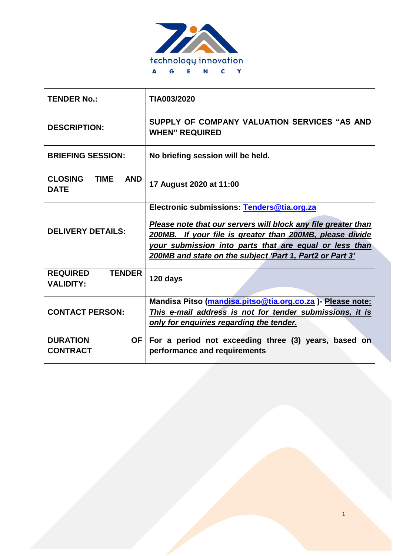

| <b>TENDER No.:</b>                                         | TIA003/2020                                                                                                                                                                                                                                                                                   |
|------------------------------------------------------------|-----------------------------------------------------------------------------------------------------------------------------------------------------------------------------------------------------------------------------------------------------------------------------------------------|
| <b>DESCRIPTION:</b>                                        | SUPPLY OF COMPANY VALUATION SERVICES "AS AND<br><b>WHEN" REQUIRED</b>                                                                                                                                                                                                                         |
| <b>BRIEFING SESSION:</b>                                   | No briefing session will be held.                                                                                                                                                                                                                                                             |
| <b>CLOSING</b><br><b>TIME</b><br><b>AND</b><br><b>DATE</b> | 17 August 2020 at 11:00                                                                                                                                                                                                                                                                       |
| <b>DELIVERY DETAILS:</b>                                   | Electronic submissions: Tenders@tia.org.za<br>Please note that our servers will block any file greater than<br>200MB. If your file is greater than 200MB, please divide<br>your submission into parts that are equal or less than<br>200MB and state on the subject 'Part 1, Part2 or Part 3' |
| <b>TENDER</b><br><b>REQUIRED</b><br><b>VALIDITY:</b>       | 120 days                                                                                                                                                                                                                                                                                      |
| <b>CONTACT PERSON:</b>                                     | Mandisa Pitso (mandisa.pitso@tia.org.co.za) - Please note:<br>This e-mail address is not for tender submissions, it is<br>only for enquiries regarding the tender.                                                                                                                            |
| <b>DURATION</b><br><b>OF</b><br><b>CONTRACT</b>            | For a period not exceeding three (3) years, based on<br>performance and requirements                                                                                                                                                                                                          |

1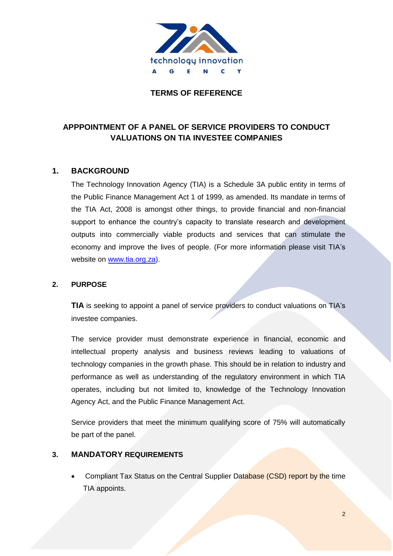

#### **TERMS OF REFERENCE**

# **APPPOINTMENT OF A PANEL OF SERVICE PROVIDERS TO CONDUCT VALUATIONS ON TIA INVESTEE COMPANIES**

#### **1. BACKGROUND**

The Technology Innovation Agency (TIA) is a Schedule 3A public entity in terms of the Public Finance Management Act 1 of 1999, as amended. Its mandate in terms of the TIA Act, 2008 is amongst other things, to provide financial and non-financial support to enhance the country's capacity to translate research and development outputs into commercially viable products and services that can stimulate the economy and improve the lives of people. (For more information please visit TIA's website on [www.tia.org.za\)](http://www.tia.org.za/).

#### **2. PURPOSE**

**TIA** is seeking to appoint a panel of service providers to conduct valuations on TIA's investee companies.

The service provider must demonstrate experience in financial, economic and intellectual property analysis and business reviews leading to valuations of technology companies in the growth phase. This should be in relation to industry and performance as well as understanding of the regulatory environment in which TIA operates, including but not limited to, knowledge of the Technology Innovation Agency Act, and the Public Finance Management Act.

Service providers that meet the minimum qualifying score of 75% will automatically be part of the panel.

#### **3. MANDATORY REQUIREMENTS**

• Compliant Tax Status on the Central Supplier Database (CSD) report by the time TIA appoints.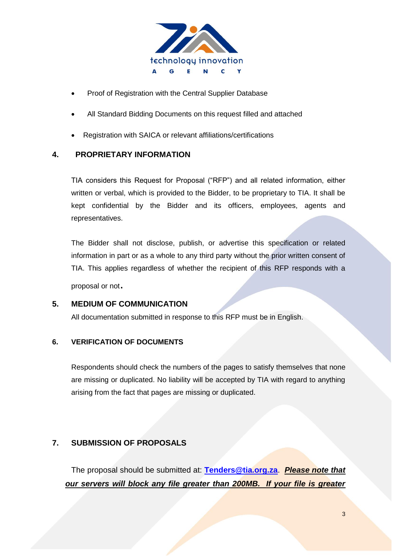

- Proof of Registration with the Central Supplier Database
- All Standard Bidding Documents on this request filled and attached
- Registration with SAICA or relevant affiliations/certifications

#### **4. PROPRIETARY INFORMATION**

TIA considers this Request for Proposal ("RFP") and all related information, either written or verbal, which is provided to the Bidder, to be proprietary to TIA. It shall be kept confidential by the Bidder and its officers, employees, agents and representatives.

The Bidder shall not disclose, publish, or advertise this specification or related information in part or as a whole to any third party without the prior written consent of TIA. This applies regardless of whether the recipient of this RFP responds with a

proposal or not.

#### **5. MEDIUM OF COMMUNICATION**

All documentation submitted in response to this RFP must be in English.

#### **6. VERIFICATION OF DOCUMENTS**

Respondents should check the numbers of the pages to satisfy themselves that none are missing or duplicated. No liability will be accepted by TIA with regard to anything arising from the fact that pages are missing or duplicated.

#### **7. SUBMISSION OF PROPOSALS**

The proposal should be submitted at: **[Tenders@tia.org.za](mailto:Tenders@tia.org.za)**. *Please note that our servers will block any file greater than 200MB. If your file is greater*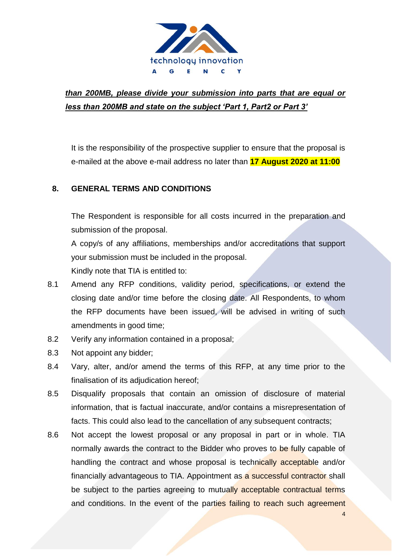

# *than 200MB, please divide your submission into parts that are equal or less than 200MB and state on the subject 'Part 1, Part2 or Part 3'*

It is the responsibility of the prospective supplier to ensure that the proposal is e-mailed at the above e-mail address no later than **17 August 2020 at 11:00**

# **8. GENERAL TERMS AND CONDITIONS**

The Respondent is responsible for all costs incurred in the preparation and submission of the proposal. A copy/s of any affiliations, memberships and/or accreditations that support

your submission must be included in the proposal.

Kindly note that TIA is entitled to:

- 8.1 Amend any RFP conditions, validity period, specifications, or extend the closing date and/or time before the closing date. All Respondents, to whom the RFP documents have been issued, will be advised in writing of such amendments in good time;
- 8.2 Verify any information contained in a proposal;
- 8.3 Not appoint any bidder;
- 8.4 Vary, alter, and/or amend the terms of this RFP, at any time prior to the finalisation of its adjudication hereof;
- 8.5 Disqualify proposals that contain an omission of disclosure of material information, that is factual inaccurate, and/or contains a misrepresentation of facts. This could also lead to the cancellation of any subsequent contracts;
- 8.6 Not accept the lowest proposal or any proposal in part or in whole. TIA normally awards the contract to the Bidder who proves to be fully capable of handling the contract and whose proposal is technically acceptable and/or financially advantageous to TIA. Appointment as a successful contractor shall be subject to the parties agreeing to mutually acceptable contractual terms and conditions. In the event of the parties failing to reach such agreement

4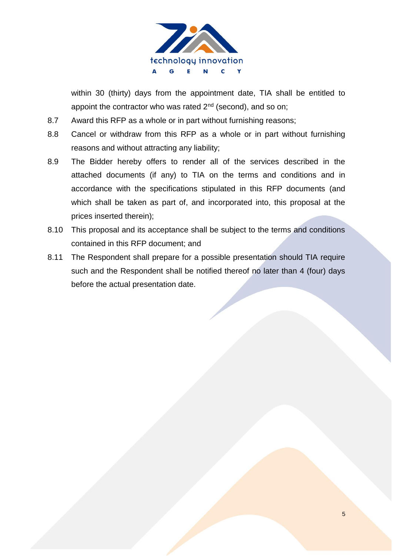

within 30 (thirty) days from the appointment date, TIA shall be entitled to appoint the contractor who was rated 2<sup>nd</sup> (second), and so on;

- 8.7 Award this RFP as a whole or in part without furnishing reasons;
- 8.8 Cancel or withdraw from this RFP as a whole or in part without furnishing reasons and without attracting any liability;
- 8.9 The Bidder hereby offers to render all of the services described in the attached documents (if any) to TIA on the terms and conditions and in accordance with the specifications stipulated in this RFP documents (and which shall be taken as part of, and incorporated into, this proposal at the prices inserted therein);
- 8.10 This proposal and its acceptance shall be subject to the terms and conditions contained in this RFP document; and
- 8.11 The Respondent shall prepare for a possible presentation should TIA require such and the Respondent shall be notified thereof no later than 4 (four) days before the actual presentation date.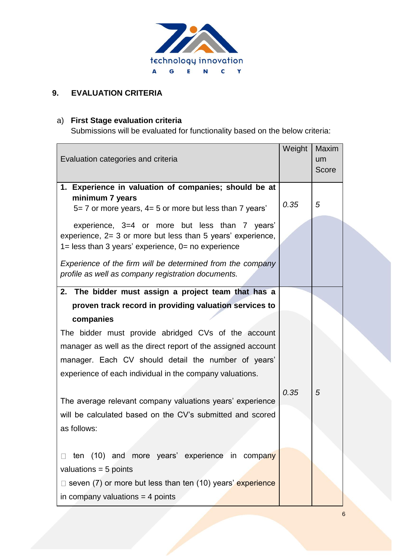

# **9. EVALUATION CRITERIA**

# a) **First Stage evaluation criteria**

Submissions will be evaluated for functionality based on the below criteria:

| Evaluation categories and criteria                                                                                                                                        | Weight | Maxim<br>um<br>Score |
|---------------------------------------------------------------------------------------------------------------------------------------------------------------------------|--------|----------------------|
| 1. Experience in valuation of companies; should be at<br>minimum 7 years<br>$5 = 7$ or more years, $4 = 5$ or more but less than 7 years'                                 | 0.35   | 5                    |
| experience, 3=4 or more but less than 7 years'<br>experience, 2= 3 or more but less than 5 years' experience,<br>$1 =$ less than 3 years' experience, $0 =$ no experience |        |                      |
| Experience of the firm will be determined from the company<br>profile as well as company registration documents.                                                          |        |                      |
| 2. The bidder must assign a project team that has a                                                                                                                       |        |                      |
| proven track record in providing valuation services to                                                                                                                    |        |                      |
| companies                                                                                                                                                                 |        |                      |
| The bidder must provide abridged CVs of the account<br>manager as well as the direct report of the assigned account                                                       |        |                      |
| manager. Each CV should detail the number of years'                                                                                                                       |        |                      |
| experience of each individual in the company valuations.                                                                                                                  |        |                      |
|                                                                                                                                                                           |        |                      |
| The average relevant company valuations years' experience                                                                                                                 | 0.35   | 5                    |
| will be calculated based on the CV's submitted and scored                                                                                                                 |        |                      |
| as follows:                                                                                                                                                               |        |                      |
|                                                                                                                                                                           |        |                      |
| ten (10) and more years' experience in company                                                                                                                            |        |                      |
| valuations = $5$ points                                                                                                                                                   |        |                      |
| $\Box$ seven (7) or more but less than ten (10) years' experience                                                                                                         |        |                      |
| in company valuations $=$ 4 points                                                                                                                                        |        |                      |
|                                                                                                                                                                           |        |                      |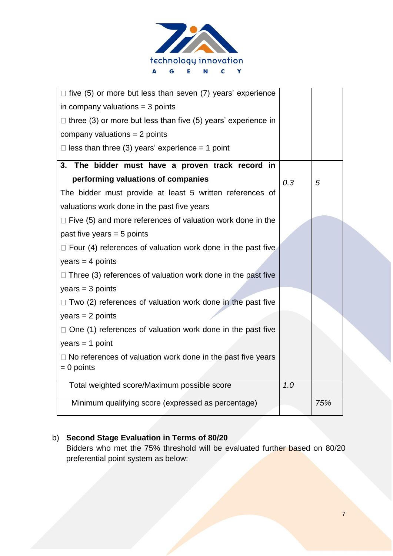

| $\Box$ five (5) or more but less than seven (7) years' experience    |     |     |
|----------------------------------------------------------------------|-----|-----|
| in company valuations $=$ 3 points                                   |     |     |
| $\Box$ three (3) or more but less than five (5) years' experience in |     |     |
| company valuations $= 2$ points                                      |     |     |
| $\Box$ less than three (3) years' experience = 1 point               |     |     |
| 3. The bidder must have a proven track record in                     |     |     |
| performing valuations of companies                                   | 0.3 | 5   |
| The bidder must provide at least 5 written references of             |     |     |
| valuations work done in the past five years                          |     |     |
| $\Box$ Five (5) and more references of valuation work done in the    |     |     |
| past five years $= 5$ points                                         |     |     |
| $\Box$ Four (4) references of valuation work done in the past five   |     |     |
| $years = 4 points$                                                   |     |     |
| $\Box$ Three (3) references of valuation work done in the past five  |     |     |
| $years = 3 points$                                                   |     |     |
| $\Box$ Two (2) references of valuation work done in the past five    |     |     |
| $years = 2 points$                                                   |     |     |
| $\Box$ One (1) references of valuation work done in the past five    |     |     |
| $years = 1 point$                                                    |     |     |
| $\Box$ No references of valuation work done in the past five years   |     |     |
| $= 0$ points                                                         |     |     |
| Total weighted score/Maximum possible score                          | 1.0 |     |
| Minimum qualifying score (expressed as percentage)                   |     | 75% |
|                                                                      |     |     |

# b) **Second Stage Evaluation in Terms of 80/20**

Bidders who met the 75% threshold will be evaluated further based on 80/20 preferential point system as below: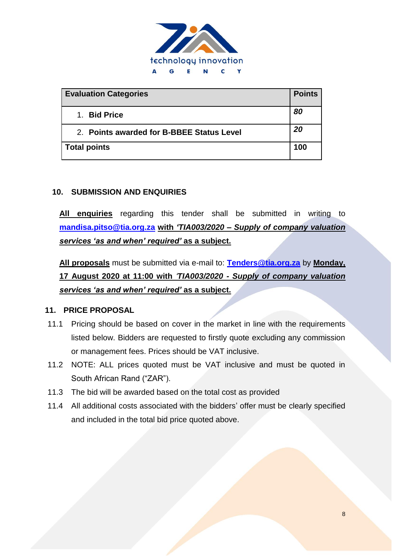

| <b>Evaluation Categories</b>              | <b>Points</b> |
|-------------------------------------------|---------------|
| 1. Bid Price                              | 80            |
| 2. Points awarded for B-BBEE Status Level | 20            |
| <b>Total points</b>                       | 100           |

#### **10. SUBMISSION AND ENQUIRIES**

**All enquiries** regarding this tender shall be submitted in writing to **[mandisa.pitso@tia.org.za](mailto:mandisa.pitso@tia.org.za) with** *'TIA003/2020 – Supply of company valuation services 'as and when' required'* **as a subject.**

**All proposals** must be submitted via e-mail to: **[Tenders@tia.org.za](mailto:Tenders@tia.org.za)** by **Monday, 17 August 2020 at 11:00 with** *'TIA003/2020 - Supply of company valuation services 'as and when' required'* **as a subject.**

#### **11. PRICE PROPOSAL**

- 11.1 Pricing should be based on cover in the market in line with the requirements listed below. Bidders are requested to firstly quote excluding any commission or management fees. Prices should be VAT inclusive.
- 11.2 NOTE: ALL prices quoted must be VAT inclusive and must be quoted in South African Rand ("ZAR").
- 11.3 The bid will be awarded based on the total cost as provided
- 11.4 All additional costs associated with the bidders' offer must be clearly specified and included in the total bid price quoted above.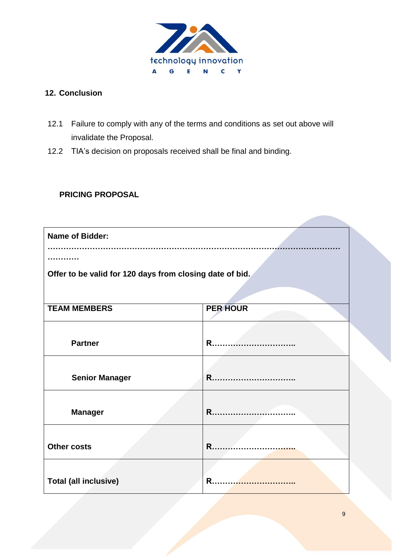

# **12. Conclusion**

- 12.1 Failure to comply with any of the terms and conditions as set out above will invalidate the Proposal.
- 12.2 TIA's decision on proposals received shall be final and binding.

# **PRICING PROPOSAL**

| <b>Name of Bidder:</b>                                   |                 |  |  |
|----------------------------------------------------------|-----------------|--|--|
|                                                          |                 |  |  |
| Offer to be valid for 120 days from closing date of bid. |                 |  |  |
|                                                          |                 |  |  |
| <b>TEAM MEMBERS</b>                                      | <b>PER HOUR</b> |  |  |
|                                                          |                 |  |  |
| <b>Partner</b>                                           | R.              |  |  |
|                                                          |                 |  |  |
| <b>Senior Manager</b>                                    | R               |  |  |
|                                                          |                 |  |  |
| <b>Manager</b>                                           | R               |  |  |
| <b>Other costs</b>                                       | R               |  |  |
|                                                          |                 |  |  |
|                                                          | R               |  |  |
| <b>Total (all inclusive)</b>                             |                 |  |  |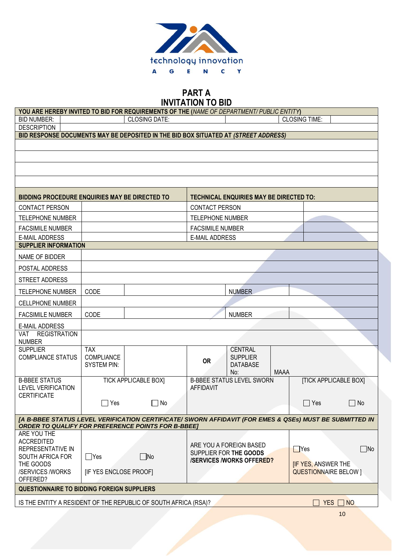

# **PART A**

| <b>INVITATION TO BID</b>                                                                                  |                                  |                             |                         |                                                   |             |                                                           |                              |
|-----------------------------------------------------------------------------------------------------------|----------------------------------|-----------------------------|-------------------------|---------------------------------------------------|-------------|-----------------------------------------------------------|------------------------------|
| YOU ARE HEREBY INVITED TO BID FOR REQUIREMENTS OF THE (NAME OF DEPARTMENT/ PUBLIC ENTITY)                 |                                  |                             |                         |                                                   |             |                                                           |                              |
| <b>BID NUMBER:</b>                                                                                        |                                  | <b>CLOSING DATE:</b>        |                         |                                                   |             | <b>CLOSING TIME:</b>                                      |                              |
| <b>DESCRIPTION</b><br>BID RESPONSE DOCUMENTS MAY BE DEPOSITED IN THE BID BOX SITUATED AT (STREET ADDRESS) |                                  |                             |                         |                                                   |             |                                                           |                              |
|                                                                                                           |                                  |                             |                         |                                                   |             |                                                           |                              |
|                                                                                                           |                                  |                             |                         |                                                   |             |                                                           |                              |
|                                                                                                           |                                  |                             |                         |                                                   |             |                                                           |                              |
|                                                                                                           |                                  |                             |                         |                                                   |             |                                                           |                              |
| BIDDING PROCEDURE ENQUIRIES MAY BE DIRECTED TO                                                            |                                  |                             |                         | <b>TECHNICAL ENQUIRIES MAY BE DIRECTED TO:</b>    |             |                                                           |                              |
| <b>CONTACT PERSON</b>                                                                                     |                                  |                             | <b>CONTACT PERSON</b>   |                                                   |             |                                                           |                              |
| <b>TELEPHONE NUMBER</b>                                                                                   |                                  |                             | <b>TELEPHONE NUMBER</b> |                                                   |             |                                                           |                              |
| <b>FACSIMILE NUMBER</b>                                                                                   |                                  |                             | <b>FACSIMILE NUMBER</b> |                                                   |             |                                                           |                              |
| <b>E-MAIL ADDRESS</b>                                                                                     |                                  |                             | <b>E-MAIL ADDRESS</b>   |                                                   |             |                                                           |                              |
| <b>SUPPLIER INFORMATION</b>                                                                               |                                  |                             |                         |                                                   |             |                                                           |                              |
| NAME OF BIDDER                                                                                            |                                  |                             |                         |                                                   |             |                                                           |                              |
| POSTAL ADDRESS                                                                                            |                                  |                             |                         |                                                   |             |                                                           |                              |
| STREET ADDRESS                                                                                            |                                  |                             |                         |                                                   |             |                                                           |                              |
| <b>TELEPHONE NUMBER</b>                                                                                   | <b>CODE</b>                      |                             |                         | <b>NUMBER</b>                                     |             |                                                           |                              |
| <b>CELLPHONE NUMBER</b>                                                                                   |                                  |                             |                         |                                                   |             |                                                           |                              |
| <b>FACSIMILE NUMBER</b>                                                                                   | CODE                             |                             |                         | <b>NUMBER</b>                                     |             |                                                           |                              |
| <b>E-MAIL ADDRESS</b>                                                                                     |                                  |                             |                         |                                                   |             |                                                           |                              |
| <b>REGISTRATION</b><br><b>VAT</b><br><b>NUMBER</b>                                                        |                                  |                             |                         |                                                   |             |                                                           |                              |
| <b>SUPPLIER</b>                                                                                           | <b>TAX</b>                       |                             |                         | <b>CENTRAL</b>                                    |             |                                                           |                              |
| <b>COMPLIANCE STATUS</b>                                                                                  | COMPLIANCE<br><b>SYSTEM PIN:</b> |                             | <b>OR</b>               | <b>SUPPLIER</b><br><b>DATABASE</b>                |             |                                                           |                              |
|                                                                                                           |                                  |                             |                         | No:                                               | <b>MAAA</b> |                                                           |                              |
| <b>B-BBEE STATUS</b><br><b>LEVEL VERIFICATION</b>                                                         |                                  | <b>TICK APPLICABLE BOXI</b> | <b>AFFIDAVIT</b>        | <b>B-BBEE STATUS LEVEL SWORN</b>                  |             |                                                           | <b>[TICK APPLICABLE BOX]</b> |
| <b>CERTIFICATE</b>                                                                                        |                                  |                             |                         |                                                   |             |                                                           |                              |
|                                                                                                           | $\Box$ Yes                       | No                          |                         |                                                   |             | Yes                                                       | $\Box$ No                    |
| [A B-BBEE STATUS LEVEL VERIFICATION CERTIFICATE/ SWORN AFFIDAVIT (FOR EMES & QSEs) MUST BE SUBMITTED IN   |                                  |                             |                         |                                                   |             |                                                           |                              |
| <b>ORDER TO QUALIFY FOR PREFERENCE POINTS FOR B-BBEE]</b>                                                 |                                  |                             |                         |                                                   |             |                                                           |                              |
| ARE YOU THE<br><b>ACCREDITED</b>                                                                          |                                  |                             |                         |                                                   |             |                                                           |                              |
| REPRESENTATIVE IN                                                                                         |                                  |                             |                         | ARE YOU A FOREIGN BASED<br>SUPPLIER FOR THE GOODS |             | $\Box$ Yes                                                | $\Box$ No                    |
| SOUTH AFRICA FOR                                                                                          | $\Box$ Yes                       | $\Box$ No                   |                         | <b>/SERVICES /WORKS OFFERED?</b>                  |             |                                                           |                              |
| THE GOODS<br>/SERVICES /WORKS                                                                             | [IF YES ENCLOSE PROOF]           |                             |                         |                                                   |             | <b>IF YES, ANSWER THE</b><br><b>QUESTIONNAIRE BELOW 1</b> |                              |
| OFFERED?                                                                                                  |                                  |                             |                         |                                                   |             |                                                           |                              |
| <b>QUESTIONNAIRE TO BIDDING FOREIGN SUPPLIERS</b>                                                         |                                  |                             |                         |                                                   |             |                                                           |                              |
| IS THE ENTITY A RESIDENT OF THE REPUBLIC OF SOUTH AFRICA (RSA)?                                           |                                  |                             |                         |                                                   |             |                                                           | $YES \Box NO$                |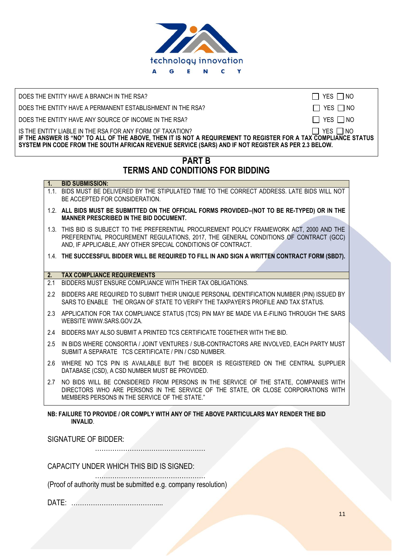

DOES THE ENTITY HAVE A BRANCH IN THE RSA?  $\Box$  YES  $\Box$  YES  $\Box$  NO

DOES THE ENTITY HAVE A PERMANENT ESTABLISHMENT IN THE RSA?  $\Box$  YES  $\Box$  NO

DOES THE ENTITY HAVE ANY SOURCE OF INCOME IN THE RSA?  $\Box$  YES  $\Box$  NO

IS THE ENTITY LIABLE IN THE RSA FOR ANY FORM OF TAXATION?  $\Box$  YES  $\Box$  NO **IF THE ANSWER IS "NO" TO ALL OF THE ABOVE, THEN IT IS NOT A REQUIREMENT TO REGISTER FOR A TAX COMPLIANCE STATUS SYSTEM PIN CODE FROM THE SOUTH AFRICAN REVENUE SERVICE (SARS) AND IF NOT REGISTER AS PER 2.3 BELOW.** 

# **PART B TERMS AND CONDITIONS FOR BIDDING**

#### **1. BID SUBMISSION:**

- 1.1. BIDS MUST BE DELIVERED BY THE STIPULATED TIME TO THE CORRECT ADDRESS. LATE BIDS WILL NOT BE ACCEPTED FOR CONSIDERATION.
- 1.2. **ALL BIDS MUST BE SUBMITTED ON THE OFFICIAL FORMS PROVIDED–(NOT TO BE RE-TYPED) OR IN THE MANNER PRESCRIBED IN THE BID DOCUMENT.**
- 1.3. THIS BID IS SUBJECT TO THE PREFERENTIAL PROCUREMENT POLICY FRAMEWORK ACT, 2000 AND THE PREFERENTIAL PROCUREMENT REGULATIONS, 2017, THE GENERAL CONDITIONS OF CONTRACT (GCC) AND, IF APPLICABLE, ANY OTHER SPECIAL CONDITIONS OF CONTRACT.

1.4. **THE SUCCESSFUL BIDDER WILL BE REQUIRED TO FILL IN AND SIGN A WRITTEN CONTRACT FORM (SBD7).**

#### **2. TAX COMPLIANCE REQUIREMENTS**

- 2.1 BIDDERS MUST ENSURE COMPLIANCE WITH THEIR TAX OBLIGATIONS.
- 2.2 BIDDERS ARE REQUIRED TO SUBMIT THEIR UNIQUE PERSONAL IDENTIFICATION NUMBER (PIN) ISSUED BY SARS TO ENABLE THE ORGAN OF STATE TO VERIFY THE TAXPAYER'S PROFILE AND TAX STATUS.
- 2.3 APPLICATION FOR TAX COMPLIANCE STATUS (TCS) PIN MAY BE MADE VIA E-FILING THROUGH THE SARS WEBSIT[E WWW.SARS.GOV.ZA.](http://www.sars.gov.za/)
- 2.4 BIDDERS MAY ALSO SUBMIT A PRINTED TCS CERTIFICATE TOGETHER WITH THE BID.
- 2.5 IN BIDS WHERE CONSORTIA / JOINT VENTURES / SUB-CONTRACTORS ARE INVOLVED, EACH PARTY MUST SUBMIT A SEPARATE TCS CERTIFICATE / PIN / CSD NUMBER.
- 2.6 WHERE NO TCS PIN IS AVAILABLE BUT THE BIDDER IS REGISTERED ON THE CENTRAL SUPPLIER DATABASE (CSD), A CSD NUMBER MUST BE PROVIDED.
- 2.7 NO BIDS WILL BE CONSIDERED FROM PERSONS IN THE SERVICE OF THE STATE, COMPANIES WITH DIRECTORS WHO ARE PERSONS IN THE SERVICE OF THE STATE, OR CLOSE CORPORATIONS WITH MEMBERS PERSONS IN THE SERVICE OF THE STATE."

#### **NB: FAILURE TO PROVIDE / OR COMPLY WITH ANY OF THE ABOVE PARTICULARS MAY RENDER THE BID INVALID**.

SIGNATURE OF BIDDER:

……………………………………………

CAPACITY UNDER WHICH THIS BID IS SIGNED:

…………………………………………… (Proof of authority must be submitted e.g. company resolution)

DATE: …………………………………....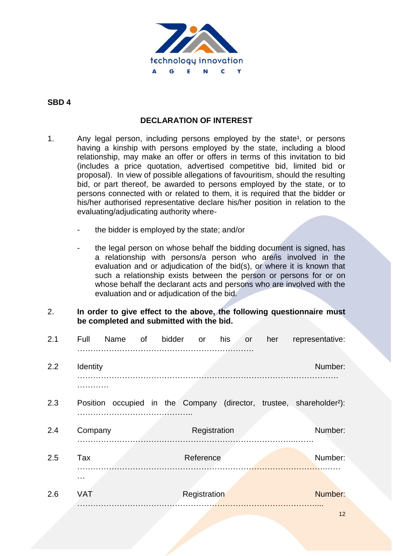

#### **SBD 4**

#### **DECLARATION OF INTEREST**

- 1. Any legal person, including persons employed by the state<sup>1</sup>, or persons having a kinship with persons employed by the state, including a blood relationship, may make an offer or offers in terms of this invitation to bid (includes a price quotation, advertised competitive bid, limited bid or proposal). In view of possible allegations of favouritism, should the resulting bid, or part thereof, be awarded to persons employed by the state, or to persons connected with or related to them, it is required that the bidder or his/her authorised representative declare his/her position in relation to the evaluating/adjudicating authority where
	- the bidder is employed by the state; and/or
	- the legal person on whose behalf the bidding document is signed, has a relationship with persons/a person who are/is involved in the evaluation and or adjudication of the bid(s), or where it is known that such a relationship exists between the person or persons for or on whose behalf the declarant acts and persons who are involved with the evaluation and or adjudication of the bid.
- 2. **In order to give effect to the above, the following questionnaire must be completed and submitted with the bid.**

| 2.1 | Full            | Name | of | bidder | <b>or</b>    | his<br><b>or</b> | her | representative:                                                                  |
|-----|-----------------|------|----|--------|--------------|------------------|-----|----------------------------------------------------------------------------------|
| 2.2 | Identity        |      |    |        |              |                  |     | Number:                                                                          |
| 2.3 |                 |      |    |        |              |                  |     | Position occupied in the Company (director, trustee, shareholder <sup>2</sup> ): |
| 2.4 | Company         |      |    |        | Registration |                  |     | Number:                                                                          |
| 2.5 | Tax             |      |    |        | Reference    |                  |     | Number:                                                                          |
| 2.6 | .<br><b>VAT</b> |      |    |        | Registration |                  |     | Number:                                                                          |
|     |                 |      |    |        |              |                  |     |                                                                                  |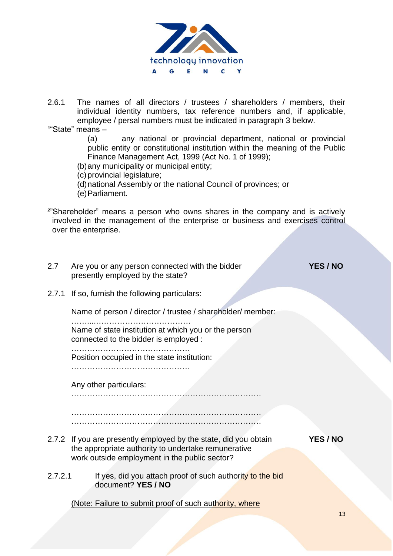

2.6.1 The names of all directors / trustees / shareholders / members, their individual identity numbers, tax reference numbers and, if applicable, employee / persal numbers must be indicated in paragraph 3 below.

 $1^{\circ}$ State" means –

 (a) any national or provincial department, national or provincial public entity or constitutional institution within the meaning of the Public Finance Management Act, 1999 (Act No. 1 of 1999);

(b)any municipality or municipal entity;

(c) provincial legislature;

(d)national Assembly or the national Council of provinces; or

(e)Parliament.

²"Shareholder" means a person who owns shares in the company and is actively involved in the management of the enterprise or business and exercises control over the enterprise.

- 2.7 Are you or any person connected with the bidder **YES / NO**  presently employed by the state? 2.7.1 If so, furnish the following particulars: Name of person / director / trustee / shareholder/ member: ……....……………………………… Name of state institution at which you or the person connected to the bidder is employed : ……………………………………… Position occupied in the state institution: ……………………………………… Any other particulars: ……………………………………………………………… ……………………………………………………………… ……………………………………………………………… 2.7.2 If you are presently employed by the state, did you obtain **YES / NO** the appropriate authority to undertake remunerative work outside employment in the public sector?
- 2.7.2.1 If yes, did you attach proof of such authority to the bid document? **YES / NO**

(Note: Failure to submit proof of such authority, where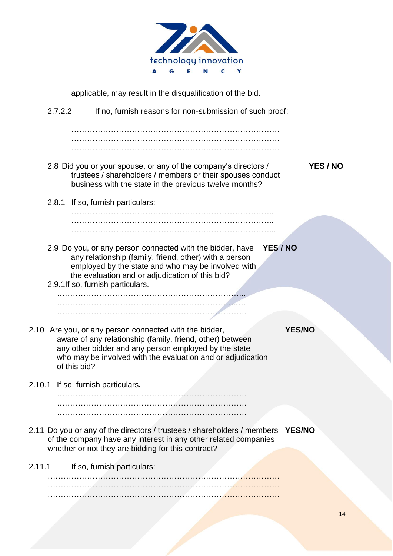

applicable, may result in the disqualification of the bid. 2.7.2.2 If no, furnish reasons for non-submission of such proof: ……………………………………………………………………. ……………………………………………………………………. ……………………………………………………………………. 2.8 Did you or your spouse, or any of the company's directors / **YES / NO** trustees / shareholders / members or their spouses conduct business with the state in the previous twelve months? 2.8.1 If so, furnish particulars: ………………………………………………………………….. ………………………………………………………………….. 2.9 Do you, or any person connected with the bidder, have **YES / NO** any relationship (family, friend, other) with a person employed by the state and who may be involved with the evaluation and or adjudication of this bid? 2.9.1If so, furnish particulars. ……………………………………………………………... …………………………………………………………..…. ……………………………………………………………… 2.10 Are you, or any person connected with the bidder, **YES/NO** aware of any relationship (family, friend, other) between any other bidder and any person employed by the state who may be involved with the evaluation and or adjudication of this bid? 2.10.1 If so, furnish particulars**.** ……………………………………………………………… ……………………………………………………………… ……………………………………………………………… 2.11 Do you or any of the directors / trustees / shareholders / members **YES/NO** of the company have any interest in any other related companies whether or not they are bidding for this contract? 2.11.1 If so, furnish particulars: ……………………………………………………………………………. ……………………………………………………………………………. …………………………………………………………………………….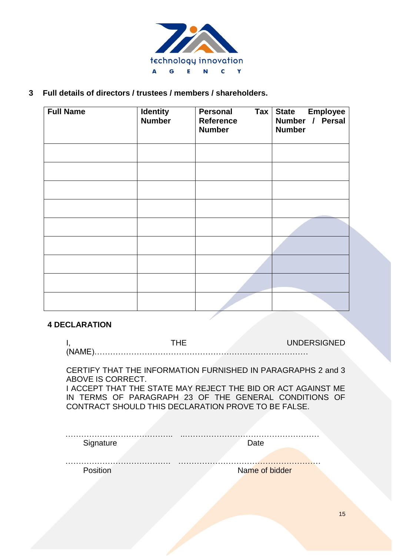

**3 Full details of directors / trustees / members / shareholders.**

| <b>Full Name</b> | <b>Identity</b><br><b>Number</b> | $\mathsf{Tax}$<br><b>Personal</b><br><b>Reference</b><br><b>Number</b> | <b>Employee</b><br><b>State</b><br>Number / Persal<br><b>Number</b> |
|------------------|----------------------------------|------------------------------------------------------------------------|---------------------------------------------------------------------|
|                  |                                  |                                                                        |                                                                     |
|                  |                                  |                                                                        |                                                                     |
|                  |                                  |                                                                        |                                                                     |
|                  |                                  |                                                                        |                                                                     |
|                  |                                  |                                                                        |                                                                     |
|                  |                                  |                                                                        |                                                                     |
|                  |                                  |                                                                        |                                                                     |
|                  |                                  |                                                                        |                                                                     |
|                  |                                  |                                                                        |                                                                     |

#### **4 DECLARATION**

CERTIFY THAT THE INFORMATION FURNISHED IN PARAGRAPHS 2 and 3 ABOVE IS CORRECT.

I ACCEPT THAT THE STATE MAY REJECT THE BID OR ACT AGAINST ME IN TERMS OF PARAGRAPH 23 OF THE GENERAL CONDITIONS OF CONTRACT SHOULD THIS DECLARATION PROVE TO BE FALSE.

| Signature | Date           |
|-----------|----------------|
|           |                |
| Position  | Name of bidder |
|           |                |
|           |                |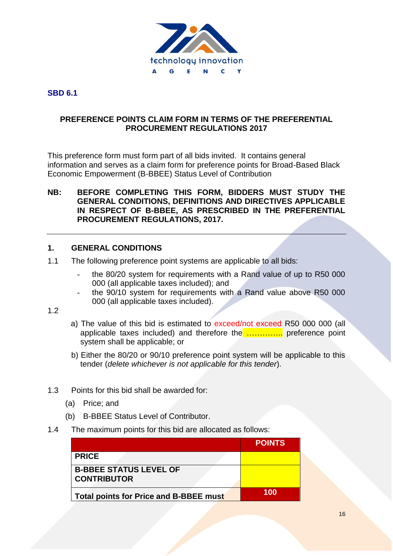

## **SBD 6.1**

#### **PREFERENCE POINTS CLAIM FORM IN TERMS OF THE PREFERENTIAL PROCUREMENT REGULATIONS 2017**

This preference form must form part of all bids invited. It contains general information and serves as a claim form for preference points for Broad-Based Black Economic Empowerment (B-BBEE) Status Level of Contribution

#### **NB: BEFORE COMPLETING THIS FORM, BIDDERS MUST STUDY THE GENERAL CONDITIONS, DEFINITIONS AND DIRECTIVES APPLICABLE IN RESPECT OF B-BBEE, AS PRESCRIBED IN THE PREFERENTIAL PROCUREMENT REGULATIONS, 2017.**

#### **1. GENERAL CONDITIONS**

- 1.1 The following preference point systems are applicable to all bids:
	- the 80/20 system for requirements with a Rand value of up to R50 000 000 (all applicable taxes included); and
	- the 90/10 system for requirements with a Rand value above R50 000 000 (all applicable taxes included).
- 1.2
- a) The value of this bid is estimated to exceed/not exceed R50 000 000 (all applicable taxes included) and therefore the ............... preference point system shall be applicable; or
- b) Either the 80/20 or 90/10 preference point system will be applicable to this tender (*delete whichever is not applicable for this tender*).
- 1.3 Points for this bid shall be awarded for:
	- (a) Price; and
	- (b) B-BBEE Status Level of Contributor.
- 1.4 The maximum points for this bid are allocated as follows:

|                                                     | <b>POINTS</b> |
|-----------------------------------------------------|---------------|
| <b>PRICE</b>                                        |               |
| <b>B-BBEE STATUS LEVEL OF</b><br><b>CONTRIBUTOR</b> |               |
| Total points for Price and B-BBEE must              | 100           |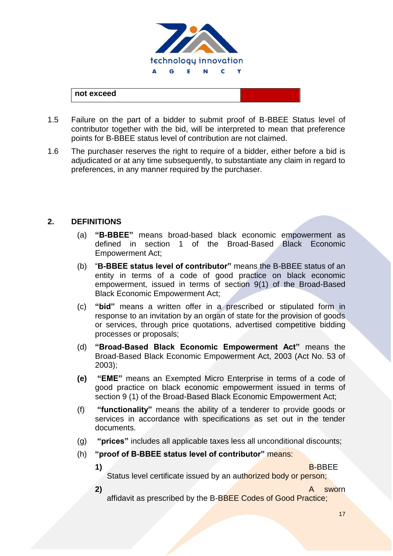

## **not exceed**

- 1.5 Failure on the part of a bidder to submit proof of B-BBEE Status level of contributor together with the bid, will be interpreted to mean that preference points for B-BBEE status level of contribution are not claimed.
- 1.6 The purchaser reserves the right to require of a bidder, either before a bid is adjudicated or at any time subsequently, to substantiate any claim in regard to preferences, in any manner required by the purchaser.

#### **2. DEFINITIONS**

- (a) **"B-BBEE"** means broad-based black economic empowerment as defined in section 1 of the Broad-Based Black Economic Empowerment Act;
- (b) "**B-BBEE status level of contributor"** means the B-BBEE status of an entity in terms of a code of good practice on black economic empowerment, issued in terms of section 9(1) of the Broad-Based Black Economic Empowerment Act;
- (c) **"bid"** means a written offer in a prescribed or stipulated form in response to an invitation by an organ of state for the provision of goods or services, through price quotations, advertised competitive bidding processes or proposals;
- (d) **"Broad-Based Black Economic Empowerment Act"** means the Broad-Based Black Economic Empowerment Act, 2003 (Act No. 53 of 2003);
- **(e) "EME"** means an Exempted Micro Enterprise in terms of a code of good practice on black economic empowerment issued in terms of section 9 (1) of the Broad-Based Black Economic Empowerment Act;
- (f) **"functionality"** means the ability of a tenderer to provide goods or services in accordance with specifications as set out in the tender documents.
- (g) **"prices"** includes all applicable taxes less all unconditional discounts;
- (h) **"proof of B-BBEE status level of contributor"** means:
	-

**1)** B-BBEE

Status level certificate issued by an authorized body or person;

**2)** A sworn

affidavit as prescribed by the B-BBEE Codes of Good Practice;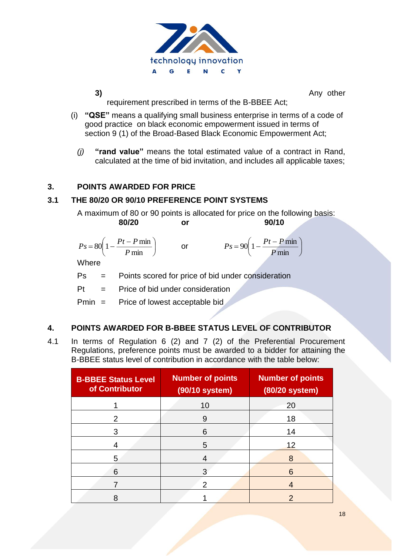

**3)** Any other

|

requirement prescribed in terms of the B-BBEE Act;

- (i) **"QSE"** means a qualifying small business enterprise in terms of a code of good practice on black economic empowerment issued in terms of section 9 (1) of the Broad-Based Black Economic Empowerment Act;
	- *(j)* **"rand value"** means the total estimated value of a contract in Rand, calculated at the time of bid invitation, and includes all applicable taxes;

#### **3. POINTS AWARDED FOR PRICE**

## **3.1 THE 80/20 OR 90/10 PREFERENCE POINT SYSTEMS**

A maximum of 80 or 90 points is allocated for price on the following basis: **80/20 or 90/10**

$$
Ps = 80\left(1 - \frac{Pt - P \min P}{ \min \right) \qquad \text{or} \qquad \qquad Ps = 90\left(1 - \frac{Pt - P \min P}{ \min P} \right)
$$

**Where** 

Ps = Points scored for price of bid under consideration

 $Pt =$  Price of bid under consideration

Pmin = Price of lowest acceptable bid

#### **4. POINTS AWARDED FOR B-BBEE STATUS LEVEL OF CONTRIBUTOR**

4.1 In terms of Regulation 6 (2) and 7 (2) of the Preferential Procurement Regulations, preference points must be awarded to a bidder for attaining the B-BBEE status level of contribution in accordance with the table below:

| <b>B-BBEE Status Level</b><br>of Contributor | <b>Number of points</b><br>(90/10 system) | <b>Number of points</b><br>(80/20 system) |
|----------------------------------------------|-------------------------------------------|-------------------------------------------|
|                                              | 10                                        | 20                                        |
| 2                                            | 9                                         | 18                                        |
| 3                                            | 6                                         | 14                                        |
| 4                                            | 5                                         | 12                                        |
| 5                                            | 4                                         | 8                                         |
| 6                                            |                                           | 6                                         |
|                                              | 2                                         |                                           |
| 8                                            |                                           | າ                                         |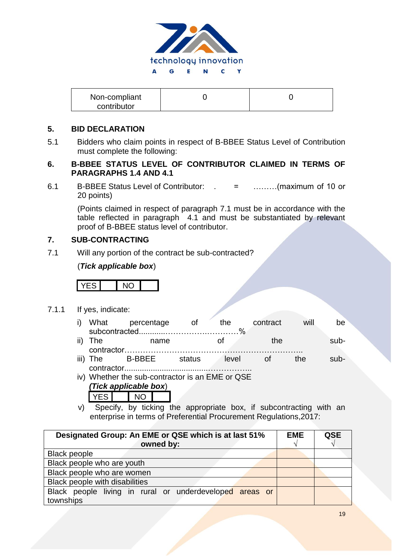

| Non-compliant |  |
|---------------|--|
| contributor   |  |

#### **5. BID DECLARATION**

5.1 Bidders who claim points in respect of B-BBEE Status Level of Contribution must complete the following:

#### **6. B-BBEE STATUS LEVEL OF CONTRIBUTOR CLAIMED IN TERMS OF PARAGRAPHS 1.4 AND 4.1**

6.1 B-BBEE Status Level of Contributor: . = ………(maximum of 10 or 20 points)

(Points claimed in respect of paragraph 7.1 must be in accordance with the table reflected in paragraph 4.1 and must be substantiated by relevant proof of B-BBEE status level of contributor.

#### **7. SUB-CONTRACTING**

7.1 Will any portion of the contract be sub-contracted?

#### (*Tick applicable box*)

YES NO

- 7.1.1 If yes, indicate:
	- i) What percentage of the contract will be subcontracted............…………….…………%
	- ii) The mame of the subcontractor………………………………………………………….. iii) The B-BBEE status level of the sub-
	- contractor......................................…………….. iv) Whether the sub-contractor is an EME or QSE
		- *(Tick applicable box*) YES NO
	- v) Specify, by ticking the appropriate box, if subcontracting with an enterprise in terms of Preferential Procurement Regulations,2017:

| Designated Group: An EME or QSE which is at last 51%    |  | QSE |
|---------------------------------------------------------|--|-----|
| owned by:                                               |  |     |
| <b>Black people</b>                                     |  |     |
| Black people who are youth                              |  |     |
| Black people who are women                              |  |     |
| Black people with disabilities                          |  |     |
| Black people living in rural or underdeveloped areas or |  |     |
| townships                                               |  |     |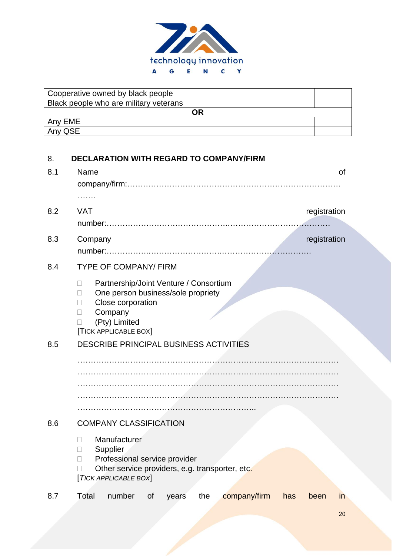

| Cooperative owned by black people      |  |  |  |
|----------------------------------------|--|--|--|
| Black people who are military veterans |  |  |  |
|                                        |  |  |  |
| Any EME                                |  |  |  |
| Any QSE                                |  |  |  |

# 8. **DECLARATION WITH REGARD TO COMPANY/FIRM**

| 8.1 | Name<br>0f<br>.                                                                                                                                                                      |
|-----|--------------------------------------------------------------------------------------------------------------------------------------------------------------------------------------|
| 8.2 | <b>VAT</b><br>registration                                                                                                                                                           |
| 8.3 | Company<br>registration                                                                                                                                                              |
| 8.4 | <b>TYPE OF COMPANY/ FIRM</b>                                                                                                                                                         |
|     | Partnership/Joint Venture / Consortium<br>П<br>One person business/sole propriety<br>П<br>Close corporation<br>П<br>Company<br>П<br>(Pty) Limited<br>$\Box$<br>[TICK APPLICABLE BOX] |
| 8.5 | DESCRIBE PRINCIPAL BUSINESS ACTIVITIES                                                                                                                                               |
|     |                                                                                                                                                                                      |
| 8.6 | <b>COMPANY CLASSIFICATION</b>                                                                                                                                                        |
|     | Manufacturer<br>$\Box$<br>Supplier<br>П<br>Professional service provider<br>П<br>Other service providers, e.g. transporter, etc.<br>[TICK APPLICABLE BOX]                            |
| 8.7 | number<br>Total<br>the<br>company/firm<br>of<br>has<br>been<br>years<br>in                                                                                                           |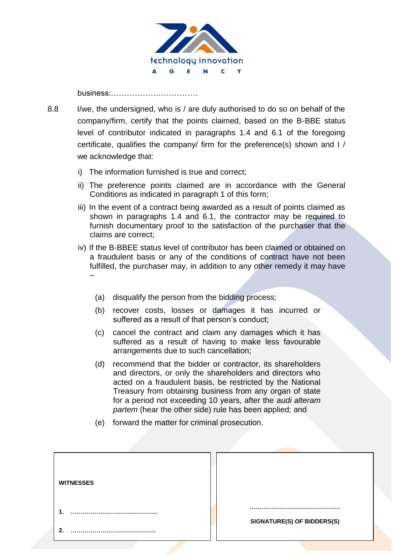

business:……………………………

- 8.8 I/we, the undersigned, who is / are duly authorised to do so on behalf of the company/firm, certify that the points claimed, based on the B-BBE status level of contributor indicated in paragraphs 1.4 and 6.1 of the foregoing certificate, qualifies the company/ firm for the preference(s) shown and I / we acknowledge that:
	- i) The information furnished is true and correct;
	- ii) The preference points claimed are in accordance with the General Conditions as indicated in paragraph 1 of this form;
	- iii) In the event of a contract being awarded as a result of points claimed as shown in paragraphs 1.4 and 6.1, the contractor may be required to furnish documentary proof to the satisfaction of the purchaser that the claims are correct;
	- iv) If the B-BBEE status level of contributor has been claimed or obtained on a fraudulent basis or any of the conditions of contract have not been fulfilled, the purchaser may, in addition to any other remedy it may have –
		- (a) disqualify the person from the bidding process;
		- (b) recover costs, losses or damages it has incurred or suffered as a result of that person's conduct;
		- (c) cancel the contract and claim any damages which it has suffered as a result of having to make less favourable arrangements due to such cancellation;
		- (d) recommend that the bidder or contractor, its shareholders and directors, or only the shareholders and directors who acted on a fraudulent basis, be restricted by the National Treasury from obtaining business from any organ of state for a period not exceeding 10 years, after the *audi alteram partem* (hear the other side) rule has been applied; and
		- (e) forward the matter for criminal prosecution.

| <b>WITNESSES</b> |                            |
|------------------|----------------------------|
|                  |                            |
| ◠                | SIGNATURE(S) OF BIDDERS(S) |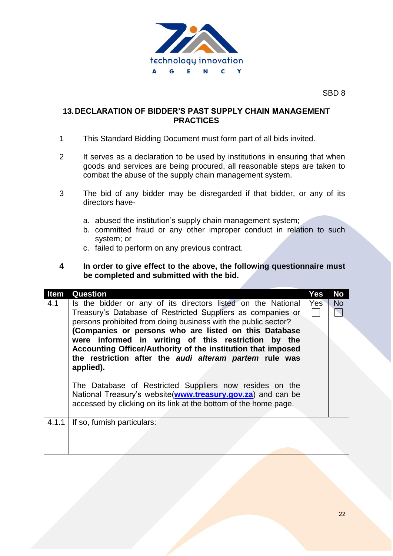

SBD 8

#### **13.DECLARATION OF BIDDER'S PAST SUPPLY CHAIN MANAGEMENT PRACTICES**

- 1 This Standard Bidding Document must form part of all bids invited.
- 2 It serves as a declaration to be used by institutions in ensuring that when goods and services are being procured, all reasonable steps are taken to combat the abuse of the supply chain management system.
- 3 The bid of any bidder may be disregarded if that bidder, or any of its directors have
	- a. abused the institution's supply chain management system;
	- b. committed fraud or any other improper conduct in relation to such system; or
	- c. failed to perform on any previous contract.
- **4 In order to give effect to the above, the following questionnaire must be completed and submitted with the bid.**

| Item  | Question                                                                                                                                                                                                                                                                                                                                                                                                                                                                                                                                                                                                                                           | Yes | <b>No</b> |
|-------|----------------------------------------------------------------------------------------------------------------------------------------------------------------------------------------------------------------------------------------------------------------------------------------------------------------------------------------------------------------------------------------------------------------------------------------------------------------------------------------------------------------------------------------------------------------------------------------------------------------------------------------------------|-----|-----------|
| 4.1   | Is the bidder or any of its directors listed on the National<br>Treasury's Database of Restricted Suppliers as companies or<br>persons prohibited from doing business with the public sector?<br>(Companies or persons who are listed on this Database<br>were informed in writing of this restriction by the<br>Accounting Officer/Authority of the institution that imposed<br>the restriction after the audi alteram partem rule was<br>applied).<br>The Database of Restricted Suppliers now resides on the<br>National Treasury's website(www.treasury.gov.za) and can be<br>accessed by clicking on its link at the bottom of the home page. | Yes | <b>No</b> |
| 4.1.1 | If so, furnish particulars:                                                                                                                                                                                                                                                                                                                                                                                                                                                                                                                                                                                                                        |     |           |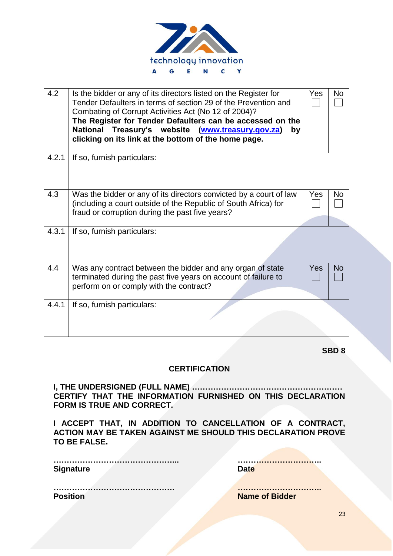

| 4.2   | Is the bidder or any of its directors listed on the Register for<br>Tender Defaulters in terms of section 29 of the Prevention and<br>Combating of Corrupt Activities Act (No 12 of 2004)?<br>The Register for Tender Defaulters can be accessed on the<br>National Treasury's website (www.treasury.gov.za)<br>by<br>clicking on its link at the bottom of the home page. | Yes        | No        |
|-------|----------------------------------------------------------------------------------------------------------------------------------------------------------------------------------------------------------------------------------------------------------------------------------------------------------------------------------------------------------------------------|------------|-----------|
| 4.2.1 | If so, furnish particulars:                                                                                                                                                                                                                                                                                                                                                |            |           |
| 4.3   | Was the bidder or any of its directors convicted by a court of law<br>(including a court outside of the Republic of South Africa) for<br>fraud or corruption during the past five years?                                                                                                                                                                                   | Yes        | No        |
| 4.3.1 | If so, furnish particulars:                                                                                                                                                                                                                                                                                                                                                |            |           |
| 4.4   | Was any contract between the bidder and any organ of state<br>terminated during the past five years on account of failure to<br>perform on or comply with the contract?                                                                                                                                                                                                    | <b>Yes</b> | <b>No</b> |
| 4.4.1 | If so, furnish particulars:                                                                                                                                                                                                                                                                                                                                                |            |           |

**SBD 8**

#### **CERTIFICATION**

**I, THE UNDERSIGNED (FULL NAME) ………………………………………………… CERTIFY THAT THE INFORMATION FURNISHED ON THIS DECLARATION FORM IS TRUE AND CORRECT.**

**I ACCEPT THAT, IN ADDITION TO CANCELLATION OF A CONTRACT, ACTION MAY BE TAKEN AGAINST ME SHOULD THIS DECLARATION PROVE TO BE FALSE.**

| <b>Signature</b> |  |
|------------------|--|
|                  |  |

**………………………………………... …………………………..**

**………………………………………. ………………………….. Position Name of Bidder** 

23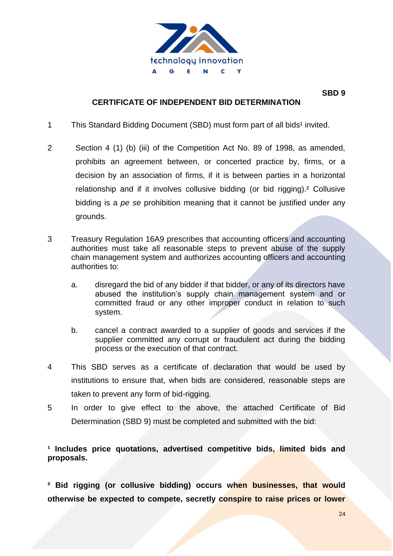

#### **CERTIFICATE OF INDEPENDENT BID DETERMINATION**

- 1 This Standard Bidding Document (SBD) must form part of all bids<sup>1</sup> invited.
- 2 Section 4 (1) (b) (iii) of the Competition Act No. 89 of 1998, as amended, prohibits an agreement between, or concerted practice by, firms, or a decision by an association of firms, if it is between parties in a horizontal relationship and if it involves collusive bidding (or bid rigging).² Collusive bidding is a *pe se* prohibition meaning that it cannot be justified under any grounds.
- 3 Treasury Regulation 16A9 prescribes that accounting officers and accounting authorities must take all reasonable steps to prevent abuse of the supply chain management system and authorizes accounting officers and accounting authorities to:
	- a. disregard the bid of any bidder if that bidder, or any of its directors have abused the institution's supply chain management system and or committed fraud or any other improper conduct in relation to such system.
	- b. cancel a contract awarded to a supplier of goods and services if the supplier committed any corrupt or fraudulent act during the bidding process or the execution of that contract.
- 4 This SBD serves as a certificate of declaration that would be used by institutions to ensure that, when bids are considered, reasonable steps are taken to prevent any form of bid-rigging.
- 5 In order to give effect to the above, the attached Certificate of Bid Determination (SBD 9) must be completed and submitted with the bid:

## <sup>1</sup> Includes price quotations, advertised competitive bids, limited bids and **proposals.**

**² Bid rigging (or collusive bidding) occurs when businesses, that would otherwise be expected to compete, secretly conspire to raise prices or lower**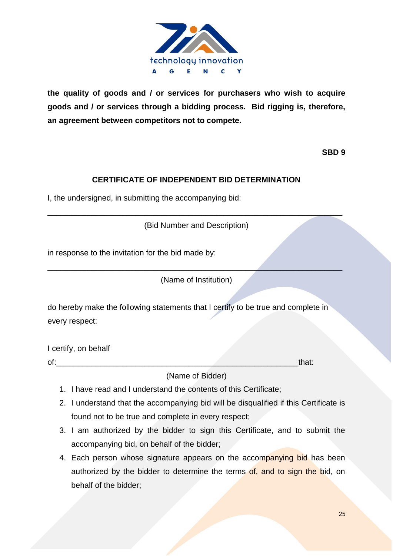

**the quality of goods and / or services for purchasers who wish to acquire goods and / or services through a bidding process. Bid rigging is, therefore, an agreement between competitors not to compete.**

**SBD 9**

# **CERTIFICATE OF INDEPENDENT BID DETERMINATION**

I, the undersigned, in submitting the accompanying bid:

(Bid Number and Description)

\_\_\_\_\_\_\_\_\_\_\_\_\_\_\_\_\_\_\_\_\_\_\_\_\_\_\_\_\_\_\_\_\_\_\_\_\_\_\_\_\_\_\_\_\_\_\_\_\_\_\_\_\_\_\_\_\_\_\_\_\_\_\_\_\_\_\_

in response to the invitation for the bid made by:

(Name of Institution)

\_\_\_\_\_\_\_\_\_\_\_\_\_\_\_\_\_\_\_\_\_\_\_\_\_\_\_\_\_\_\_\_\_\_\_\_\_\_\_\_\_\_\_\_\_\_\_\_\_\_\_\_\_\_\_\_\_\_\_\_\_\_\_\_\_\_\_

do hereby make the following statements that I certify to be true and complete in every respect:

I certify, on behalf

of: that:

(Name of Bidder)

- 1. I have read and I understand the contents of this Certificate;
- 2. I understand that the accompanying bid will be disqualified if this Certificate is found not to be true and complete in every respect;
- 3. I am authorized by the bidder to sign this Certificate, and to submit the accompanying bid, on behalf of the bidder;
- 4. Each person whose signature appears on the accompanying bid has been authorized by the bidder to determine the terms of, and to sign the bid, on behalf of the bidder;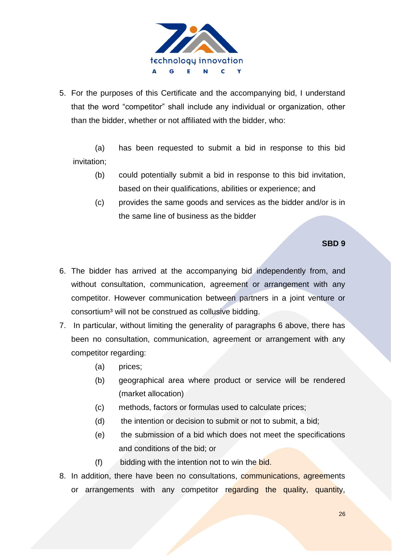

5. For the purposes of this Certificate and the accompanying bid, I understand that the word "competitor" shall include any individual or organization, other than the bidder, whether or not affiliated with the bidder, who:

(a) has been requested to submit a bid in response to this bid invitation;

- (b) could potentially submit a bid in response to this bid invitation, based on their qualifications, abilities or experience; and
- (c) provides the same goods and services as the bidder and/or is in the same line of business as the bidder

#### **SBD 9**

- 6. The bidder has arrived at the accompanying bid independently from, and without consultation, communication, agreement or arrangement with any competitor. However communication between partners in a joint venture or consortium<sup>3</sup> will not be construed as collusive bidding.
- 7. In particular, without limiting the generality of paragraphs 6 above, there has been no consultation, communication, agreement or arrangement with any competitor regarding:
	- (a) prices;
	- (b) geographical area where product or service will be rendered (market allocation)
	- (c) methods, factors or formulas used to calculate prices;
	- (d) the intention or decision to submit or not to submit, a bid;
	- (e) the submission of a bid which does not meet the specifications and conditions of the bid; or
	- (f) bidding with the intention not to win the bid.
- 8. In addition, there have been no consultations, communications, agreements or arrangements with any competitor regarding the quality, quantity,